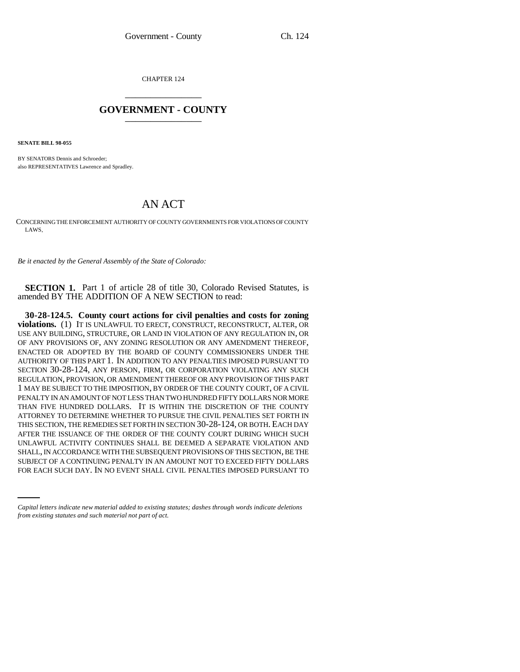CHAPTER 124 \_\_\_\_\_\_\_\_\_\_\_\_\_\_\_

## **GOVERNMENT - COUNTY** \_\_\_\_\_\_\_\_\_\_\_\_\_\_\_

**SENATE BILL 98-055**

BY SENATORS Dennis and Schroeder; also REPRESENTATIVES Lawrence and Spradley.

## AN ACT

CONCERNING THE ENFORCEMENT AUTHORITY OF COUNTY GOVERNMENTS FOR VIOLATIONS OF COUNTY LAWS.

*Be it enacted by the General Assembly of the State of Colorado:*

**SECTION 1.** Part 1 of article 28 of title 30, Colorado Revised Statutes, is amended BY THE ADDITION OF A NEW SECTION to read:

SHALL, IN ACCORDANCE WITH THE SUBSEQUENT PROVISIONS OF THIS SECTION, BE THE **30-28-124.5. County court actions for civil penalties and costs for zoning violations.** (1) IT IS UNLAWFUL TO ERECT, CONSTRUCT, RECONSTRUCT, ALTER, OR USE ANY BUILDING, STRUCTURE, OR LAND IN VIOLATION OF ANY REGULATION IN, OR OF ANY PROVISIONS OF, ANY ZONING RESOLUTION OR ANY AMENDMENT THEREOF, ENACTED OR ADOPTED BY THE BOARD OF COUNTY COMMISSIONERS UNDER THE AUTHORITY OF THIS PART 1. IN ADDITION TO ANY PENALTIES IMPOSED PURSUANT TO SECTION 30-28-124, ANY PERSON, FIRM, OR CORPORATION VIOLATING ANY SUCH REGULATION, PROVISION, OR AMENDMENT THEREOF OR ANY PROVISION OF THIS PART 1 MAY BE SUBJECT TO THE IMPOSITION, BY ORDER OF THE COUNTY COURT, OF A CIVIL PENALTY IN AN AMOUNT OF NOT LESS THAN TWO HUNDRED FIFTY DOLLARS NOR MORE THAN FIVE HUNDRED DOLLARS. IT IS WITHIN THE DISCRETION OF THE COUNTY ATTORNEY TO DETERMINE WHETHER TO PURSUE THE CIVIL PENALTIES SET FORTH IN THIS SECTION, THE REMEDIES SET FORTH IN SECTION 30-28-124, OR BOTH. EACH DAY AFTER THE ISSUANCE OF THE ORDER OF THE COUNTY COURT DURING WHICH SUCH UNLAWFUL ACTIVITY CONTINUES SHALL BE DEEMED A SEPARATE VIOLATION AND SUBJECT OF A CONTINUING PENALTY IN AN AMOUNT NOT TO EXCEED FIFTY DOLLARS FOR EACH SUCH DAY. IN NO EVENT SHALL CIVIL PENALTIES IMPOSED PURSUANT TO

*Capital letters indicate new material added to existing statutes; dashes through words indicate deletions from existing statutes and such material not part of act.*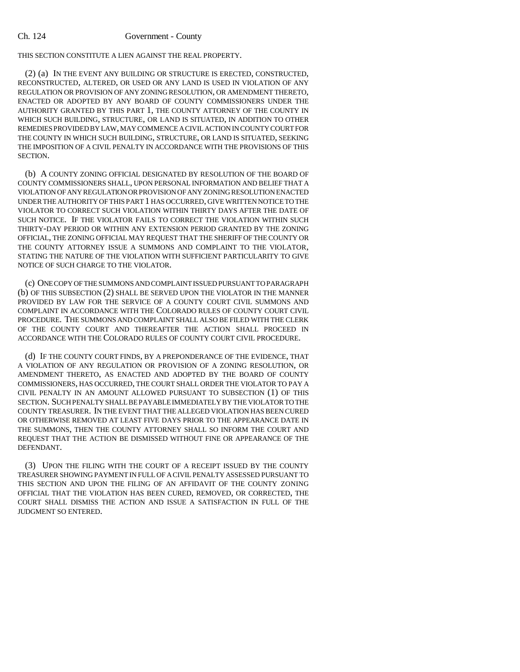THIS SECTION CONSTITUTE A LIEN AGAINST THE REAL PROPERTY.

(2) (a) IN THE EVENT ANY BUILDING OR STRUCTURE IS ERECTED, CONSTRUCTED, RECONSTRUCTED, ALTERED, OR USED OR ANY LAND IS USED IN VIOLATION OF ANY REGULATION OR PROVISION OF ANY ZONING RESOLUTION, OR AMENDMENT THERETO, ENACTED OR ADOPTED BY ANY BOARD OF COUNTY COMMISSIONERS UNDER THE AUTHORITY GRANTED BY THIS PART 1, THE COUNTY ATTORNEY OF THE COUNTY IN WHICH SUCH BUILDING, STRUCTURE, OR LAND IS SITUATED, IN ADDITION TO OTHER REMEDIES PROVIDED BY LAW, MAY COMMENCE A CIVIL ACTION IN COUNTY COURT FOR THE COUNTY IN WHICH SUCH BUILDING, STRUCTURE, OR LAND IS SITUATED, SEEKING THE IMPOSITION OF A CIVIL PENALTY IN ACCORDANCE WITH THE PROVISIONS OF THIS SECTION.

(b) A COUNTY ZONING OFFICIAL DESIGNATED BY RESOLUTION OF THE BOARD OF COUNTY COMMISSIONERS SHALL, UPON PERSONAL INFORMATION AND BELIEF THAT A VIOLATION OF ANY REGULATION OR PROVISION OF ANY ZONING RESOLUTION ENACTED UNDER THE AUTHORITY OF THIS PART 1 HAS OCCURRED, GIVE WRITTEN NOTICE TO THE VIOLATOR TO CORRECT SUCH VIOLATION WITHIN THIRTY DAYS AFTER THE DATE OF SUCH NOTICE. IF THE VIOLATOR FAILS TO CORRECT THE VIOLATION WITHIN SUCH THIRTY-DAY PERIOD OR WITHIN ANY EXTENSION PERIOD GRANTED BY THE ZONING OFFICIAL, THE ZONING OFFICIAL MAY REQUEST THAT THE SHERIFF OF THE COUNTY OR THE COUNTY ATTORNEY ISSUE A SUMMONS AND COMPLAINT TO THE VIOLATOR, STATING THE NATURE OF THE VIOLATION WITH SUFFICIENT PARTICULARITY TO GIVE NOTICE OF SUCH CHARGE TO THE VIOLATOR.

(c) ONE COPY OF THE SUMMONS AND COMPLAINT ISSUED PURSUANT TO PARAGRAPH (b) OF THIS SUBSECTION (2) SHALL BE SERVED UPON THE VIOLATOR IN THE MANNER PROVIDED BY LAW FOR THE SERVICE OF A COUNTY COURT CIVIL SUMMONS AND COMPLAINT IN ACCORDANCE WITH THE COLORADO RULES OF COUNTY COURT CIVIL PROCEDURE. THE SUMMONS AND COMPLAINT SHALL ALSO BE FILED WITH THE CLERK OF THE COUNTY COURT AND THEREAFTER THE ACTION SHALL PROCEED IN ACCORDANCE WITH THE COLORADO RULES OF COUNTY COURT CIVIL PROCEDURE.

(d) IF THE COUNTY COURT FINDS, BY A PREPONDERANCE OF THE EVIDENCE, THAT A VIOLATION OF ANY REGULATION OR PROVISION OF A ZONING RESOLUTION, OR AMENDMENT THERETO, AS ENACTED AND ADOPTED BY THE BOARD OF COUNTY COMMISSIONERS, HAS OCCURRED, THE COURT SHALL ORDER THE VIOLATOR TO PAY A CIVIL PENALTY IN AN AMOUNT ALLOWED PURSUANT TO SUBSECTION (1) OF THIS SECTION. SUCH PENALTY SHALL BE PAYABLE IMMEDIATELY BY THE VIOLATOR TO THE COUNTY TREASURER. IN THE EVENT THAT THE ALLEGED VIOLATION HAS BEEN CURED OR OTHERWISE REMOVED AT LEAST FIVE DAYS PRIOR TO THE APPEARANCE DATE IN THE SUMMONS, THEN THE COUNTY ATTORNEY SHALL SO INFORM THE COURT AND REQUEST THAT THE ACTION BE DISMISSED WITHOUT FINE OR APPEARANCE OF THE DEFENDANT.

(3) UPON THE FILING WITH THE COURT OF A RECEIPT ISSUED BY THE COUNTY TREASURER SHOWING PAYMENT IN FULL OF A CIVIL PENALTY ASSESSED PURSUANT TO THIS SECTION AND UPON THE FILING OF AN AFFIDAVIT OF THE COUNTY ZONING OFFICIAL THAT THE VIOLATION HAS BEEN CURED, REMOVED, OR CORRECTED, THE COURT SHALL DISMISS THE ACTION AND ISSUE A SATISFACTION IN FULL OF THE JUDGMENT SO ENTERED.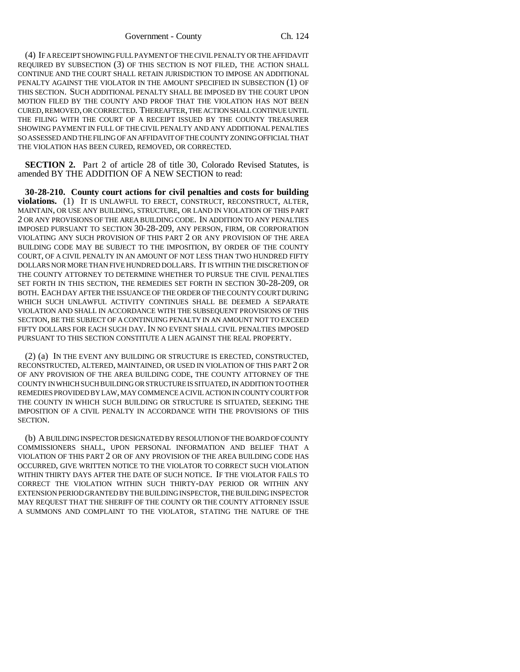(4) IF A RECEIPT SHOWING FULL PAYMENT OF THE CIVIL PENALTY OR THE AFFIDAVIT REQUIRED BY SUBSECTION (3) OF THIS SECTION IS NOT FILED, THE ACTION SHALL CONTINUE AND THE COURT SHALL RETAIN JURISDICTION TO IMPOSE AN ADDITIONAL PENALTY AGAINST THE VIOLATOR IN THE AMOUNT SPECIFIED IN SUBSECTION (1) OF THIS SECTION. SUCH ADDITIONAL PENALTY SHALL BE IMPOSED BY THE COURT UPON MOTION FILED BY THE COUNTY AND PROOF THAT THE VIOLATION HAS NOT BEEN CURED, REMOVED, OR CORRECTED. THEREAFTER, THE ACTION SHALL CONTINUE UNTIL THE FILING WITH THE COURT OF A RECEIPT ISSUED BY THE COUNTY TREASURER SHOWING PAYMENT IN FULL OF THE CIVIL PENALTY AND ANY ADDITIONAL PENALTIES SO ASSESSED AND THE FILING OF AN AFFIDAVIT OF THE COUNTY ZONING OFFICIAL THAT THE VIOLATION HAS BEEN CURED, REMOVED, OR CORRECTED.

**SECTION 2.** Part 2 of article 28 of title 30, Colorado Revised Statutes, is amended BY THE ADDITION OF A NEW SECTION to read:

**30-28-210. County court actions for civil penalties and costs for building violations.** (1) IT IS UNLAWFUL TO ERECT, CONSTRUCT, RECONSTRUCT, ALTER, MAINTAIN, OR USE ANY BUILDING, STRUCTURE, OR LAND IN VIOLATION OF THIS PART 2 OR ANY PROVISIONS OF THE AREA BUILDING CODE. IN ADDITION TO ANY PENALTIES IMPOSED PURSUANT TO SECTION 30-28-209, ANY PERSON, FIRM, OR CORPORATION VIOLATING ANY SUCH PROVISION OF THIS PART 2 OR ANY PROVISION OF THE AREA BUILDING CODE MAY BE SUBJECT TO THE IMPOSITION, BY ORDER OF THE COUNTY COURT, OF A CIVIL PENALTY IN AN AMOUNT OF NOT LESS THAN TWO HUNDRED FIFTY DOLLARS NOR MORE THAN FIVE HUNDRED DOLLARS. IT IS WITHIN THE DISCRETION OF THE COUNTY ATTORNEY TO DETERMINE WHETHER TO PURSUE THE CIVIL PENALTIES SET FORTH IN THIS SECTION, THE REMEDIES SET FORTH IN SECTION 30-28-209, OR BOTH. EACH DAY AFTER THE ISSUANCE OF THE ORDER OF THE COUNTY COURT DURING WHICH SUCH UNLAWFUL ACTIVITY CONTINUES SHALL BE DEEMED A SEPARATE VIOLATION AND SHALL IN ACCORDANCE WITH THE SUBSEQUENT PROVISIONS OF THIS SECTION, BE THE SUBJECT OF A CONTINUING PENALTY IN AN AMOUNT NOT TO EXCEED FIFTY DOLLARS FOR EACH SUCH DAY. IN NO EVENT SHALL CIVIL PENALTIES IMPOSED PURSUANT TO THIS SECTION CONSTITUTE A LIEN AGAINST THE REAL PROPERTY.

(2) (a) IN THE EVENT ANY BUILDING OR STRUCTURE IS ERECTED, CONSTRUCTED, RECONSTRUCTED, ALTERED, MAINTAINED, OR USED IN VIOLATION OF THIS PART 2 OR OF ANY PROVISION OF THE AREA BUILDING CODE, THE COUNTY ATTORNEY OF THE COUNTY IN WHICH SUCH BUILDING OR STRUCTURE IS SITUATED, IN ADDITION TO OTHER REMEDIES PROVIDED BY LAW, MAY COMMENCE A CIVIL ACTION IN COUNTY COURT FOR THE COUNTY IN WHICH SUCH BUILDING OR STRUCTURE IS SITUATED, SEEKING THE IMPOSITION OF A CIVIL PENALTY IN ACCORDANCE WITH THE PROVISIONS OF THIS SECTION.

(b) A BUILDING INSPECTOR DESIGNATED BY RESOLUTION OF THE BOARD OF COUNTY COMMISSIONERS SHALL, UPON PERSONAL INFORMATION AND BELIEF THAT A VIOLATION OF THIS PART 2 OR OF ANY PROVISION OF THE AREA BUILDING CODE HAS OCCURRED, GIVE WRITTEN NOTICE TO THE VIOLATOR TO CORRECT SUCH VIOLATION WITHIN THIRTY DAYS AFTER THE DATE OF SUCH NOTICE. IF THE VIOLATOR FAILS TO CORRECT THE VIOLATION WITHIN SUCH THIRTY-DAY PERIOD OR WITHIN ANY EXTENSION PERIOD GRANTED BY THE BUILDING INSPECTOR, THE BUILDING INSPECTOR MAY REQUEST THAT THE SHERIFF OF THE COUNTY OR THE COUNTY ATTORNEY ISSUE A SUMMONS AND COMPLAINT TO THE VIOLATOR, STATING THE NATURE OF THE